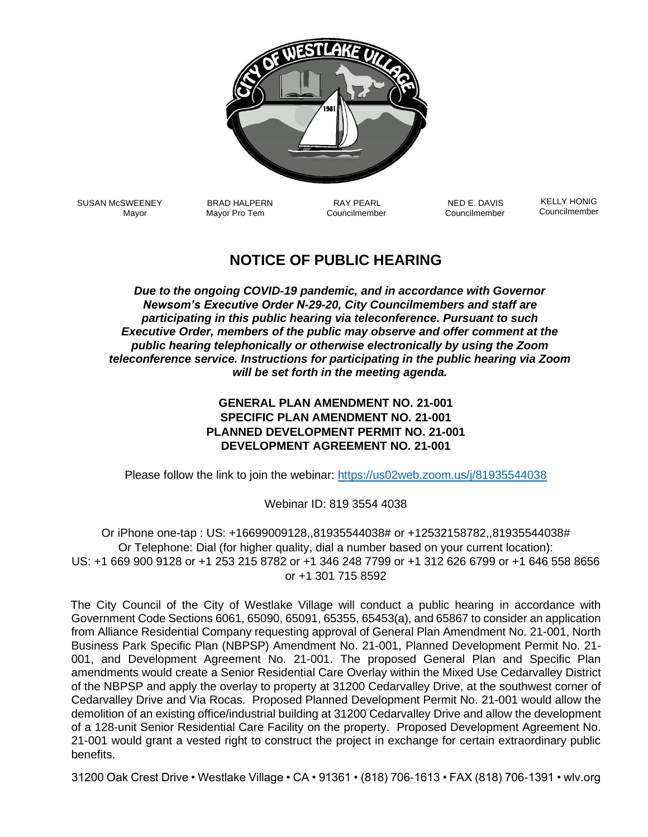

SUSAN McSWEENEY Mayor

BRAD HALPERN RAY PEARL NED E. DAVIS Mayor Pro Tem **Councilmember** Councilmember Councilmember

 KELLY HONIG Councilmember

## **NOTICE OF PUBLIC HEARING**

*Due to the ongoing COVID-19 pandemic, and in accordance with Governor Newsom's Executive Order N-29-20, City Councilmembers and staff are participating in this public hearing via teleconference. Pursuant to such Executive Order, members of the public may observe and offer comment at the public hearing telephonically or otherwise electronically by using the Zoom teleconference service. Instructions for participating in the public hearing via Zoom will be set forth in the meeting agenda.*

## **GENERAL PLAN AMENDMENT NO. 21-001 SPECIFIC PLAN AMENDMENT NO. 21-001 PLANNED DEVELOPMENT PERMIT NO. 21-001 DEVELOPMENT AGREEMENT NO. 21-001**

Please follow the link to join the webinar:<https://us02web.zoom.us/j/81935544038>

## Webinar ID: 819 3554 4038

Or iPhone one-tap : US: +16699009128,,81935544038# or +12532158782,,81935544038# Or Telephone: Dial (for higher quality, dial a number based on your current location): US: +1 669 900 9128 or +1 253 215 8782 or +1 346 248 7799 or +1 312 626 6799 or +1 646 558 8656 or +1 301 715 8592

The City Council of the City of Westlake Village will conduct a public hearing in accordance with Government Code Sections 6061, 65090, 65091, 65355, 65453(a), and 65867 to consider an application from Alliance Residential Company requesting approval of General Plan Amendment No. 21-001, North Business Park Specific Plan (NBPSP) Amendment No. 21-001, Planned Development Permit No. 21- 001, and Development Agreement No. 21-001. The proposed General Plan and Specific Plan amendments would create a Senior Residential Care Overlay within the Mixed Use Cedarvalley District of the NBPSP and apply the overlay to property at 31200 Cedarvalley Drive, at the southwest corner of Cedarvalley Drive and Via Rocas. Proposed Planned Development Permit No. 21-001 would allow the demolition of an existing office/industrial building at 31200 Cedarvalley Drive and allow the development of a 128-unit Senior Residential Care Facility on the property. Proposed Development Agreement No. 21-001 would grant a vested right to construct the project in exchange for certain extraordinary public benefits.

31200 Oak Crest Drive • Westlake Village • CA • 91361 • (818) 706-1613 • FAX (818) 706-1391 • wlv.org